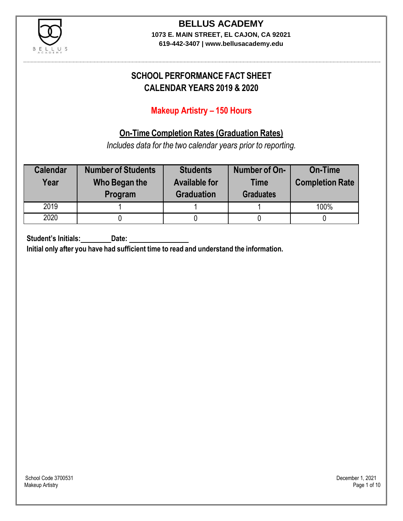

**619-442-3407 | www.bellusacademy.edu**

## **SCHOOL PERFORMANCE FACT SHEET CALENDAR YEARS 2019 & 2020**

## **Makeup Artistry – 150 Hours**

## **On-Time Completion Rates (Graduation Rates)**

*Includes data for the two calendar years prior to reporting.*

| <b>Calendar</b><br>Year | <b>Number of Students</b><br>Who Began the<br>Program | <b>Students</b><br><b>Available for</b><br><b>Graduation</b> | Number of On-<br><b>Time</b><br><b>Graduates</b> | <b>On-Time</b><br><b>Completion Rate</b> |
|-------------------------|-------------------------------------------------------|--------------------------------------------------------------|--------------------------------------------------|------------------------------------------|
| 2019                    |                                                       |                                                              |                                                  | 100%                                     |
| 2020                    |                                                       |                                                              |                                                  |                                          |

**Student's Initials: Date:**

**Initial only after you have had sufficient time to read and understand the information.**

School Code 3700531 December 1, 2021<br>Makeup Artistry Page 1 of 10 Makeup Artistry Page 1 of 10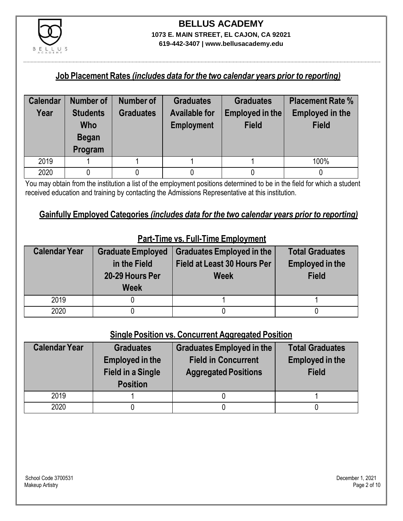

**619-442-3407 | www.bellusacademy.edu**

### **Job Placement Rates** *(includes data for the two calendar years prior to reporting)*

| <b>Calendar</b> | Number of                                                | Number of        | <b>Graduates</b>                          | <b>Graduates</b>                | <b>Placement Rate %</b>                |
|-----------------|----------------------------------------------------------|------------------|-------------------------------------------|---------------------------------|----------------------------------------|
| Year            | <b>Students</b><br><b>Who</b><br><b>Began</b><br>Program | <b>Graduates</b> | <b>Available for</b><br><b>Employment</b> | Employed in the<br><b>Field</b> | <b>Employed in the</b><br><b>Field</b> |
| 2019            |                                                          |                  |                                           |                                 | 100%                                   |
| 2020            |                                                          |                  |                                           |                                 |                                        |

You may obtain from the institution a list of the employment positions determined to be in the field for which a student received education and training by contacting the Admissions Representative at this institution.

### **Gainfully Employed Categories** *(includes data for the two calendar years prior to reporting)*

| <b>Calendar Year</b> | <b>Graduate Employed</b><br>in the Field<br>20-29 Hours Per<br><b>Week</b> | <b>Graduates Employed in the</b><br><b>Field at Least 30 Hours Per</b><br><b>Week</b> | <b>Total Graduates</b><br><b>Employed in the</b><br><b>Field</b> |
|----------------------|----------------------------------------------------------------------------|---------------------------------------------------------------------------------------|------------------------------------------------------------------|
| 2019                 |                                                                            |                                                                                       |                                                                  |
| 2020                 |                                                                            |                                                                                       |                                                                  |

## **Part-Time vs. Full-Time Employment**

### **Single Position vs. Concurrent Aggregated Position**

| <b>Calendar Year</b> | <b>Graduates</b><br><b>Employed in the</b><br><b>Field in a Single</b><br><b>Position</b> | Graduates Employed in the<br><b>Field in Concurrent</b><br><b>Aggregated Positions</b> | <b>Total Graduates</b><br><b>Employed in the</b><br><b>Field</b> |
|----------------------|-------------------------------------------------------------------------------------------|----------------------------------------------------------------------------------------|------------------------------------------------------------------|
| 2019                 |                                                                                           |                                                                                        |                                                                  |
| 2020                 |                                                                                           |                                                                                        |                                                                  |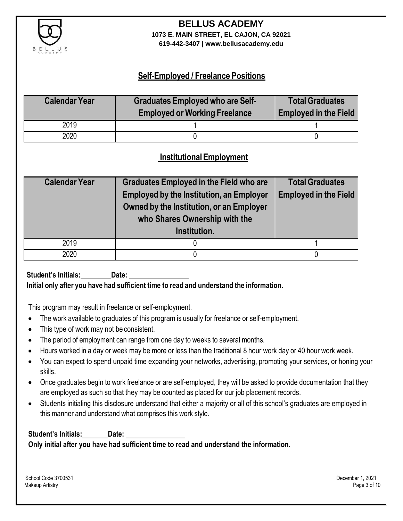

**619-442-3407 | www.bellusacademy.edu**

## **Self-Employed / Freelance Positions**

| <b>Calendar Year</b> | <b>Graduates Employed who are Self-</b><br><b>Employed or Working Freelance</b> | <b>Total Graduates</b><br><b>Employed in the Field</b> |
|----------------------|---------------------------------------------------------------------------------|--------------------------------------------------------|
| 2019                 |                                                                                 |                                                        |
| 2020                 |                                                                                 |                                                        |

### **InstitutionalEmployment**

| <b>Calendar Year</b> | Graduates Employed in the Field who are<br><b>Employed by the Institution, an Employer</b><br>Owned by the Institution, or an Employer<br>who Shares Ownership with the<br>Institution. | <b>Total Graduates</b><br><b>Employed in the Field</b> |
|----------------------|-----------------------------------------------------------------------------------------------------------------------------------------------------------------------------------------|--------------------------------------------------------|
| 2019                 |                                                                                                                                                                                         |                                                        |
| 2020                 |                                                                                                                                                                                         |                                                        |

**Student's Initials: Date: Initial only after you have had sufficient time to read and understand the information.**

This program may result in freelance or self-employment.

- The work available to graduates of this program is usually for freelance or self-employment.
- This type of work may not be consistent.
- The period of employment can range from one day to weeks to several months.
- Hours worked in a day or week may be more or less than the traditional 8 hour work day or 40 hour work week.
- You can expect to spend unpaid time expanding your networks, advertising, promoting your services, or honing your skills.
- Once graduates begin to work freelance or are self-employed, they will be asked to provide documentation that they are employed as such so that they may be counted as placed for our job placement records.
- Students initialing this disclosure understand that either a majority or all of this school's graduates are employed in this manner and understand what comprises this work style.

**Student's Initials: Date: Only initial after you have had sufficient time to read and understand the information.**

School Code 3700531 December 1, 2021 Makeup Artistry Page 3 of 10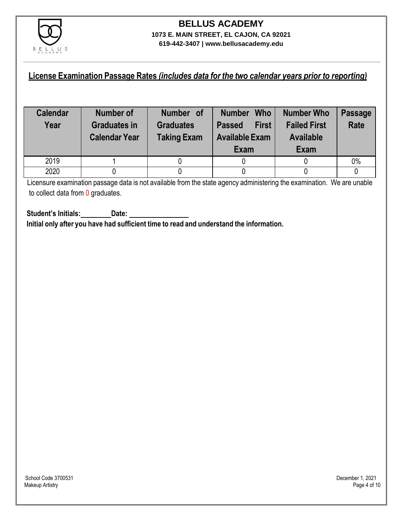

### **License Examination Passage Rates** *(includes data for the two calendar years prior to reporting)*

| <b>Calendar</b><br>Year | Number of<br><b>Graduates in</b><br><b>Calendar Year</b> | Number of<br><b>Graduates</b><br><b>Taking Exam</b> | <b>Who</b><br><b>Number</b><br><b>First</b><br><b>Passed</b><br><b>Available Exam</b><br>Exam | <b>Number Who</b><br><b>Failed First</b><br><b>Available</b><br>Exam | <b>Passage</b><br><b>Rate</b> |
|-------------------------|----------------------------------------------------------|-----------------------------------------------------|-----------------------------------------------------------------------------------------------|----------------------------------------------------------------------|-------------------------------|
| 2019                    |                                                          |                                                     |                                                                                               |                                                                      | 0%                            |
| 2020                    |                                                          |                                                     |                                                                                               |                                                                      |                               |

Licensure examination passage data is not available from the state agency administering the examination. We are unable to collect data from 0 graduates.

**Student's Initials: Date: Initial only after you have had sufficient time to read and understand the information.**

School Code 3700531 December 1, 2021<br>Makeup Artistry Page 4 of 10 Makeup Artistry Page 4 of 10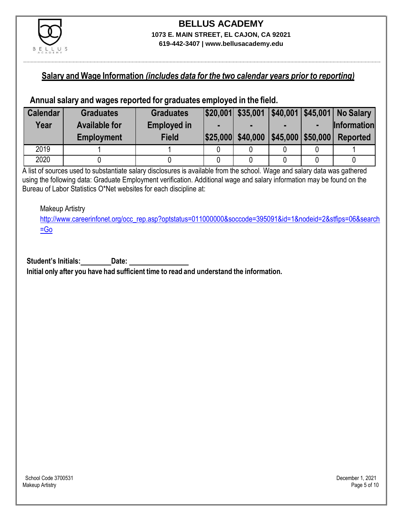

### **Salary and Wage Information** *(includes data for the two calendar years prior to reporting)*

### **Annual salary and wages reported for graduates employed in the field.**

| <b>Calendar</b> | <b>Graduates</b>     | <b>Graduates</b>   |                                     |  | $ $20,001 $ \$35,001 $ $40,001 $45,001 $ No Salary |
|-----------------|----------------------|--------------------|-------------------------------------|--|----------------------------------------------------|
| Year            | <b>Available for</b> | <b>Employed in</b> |                                     |  | <b>Information</b>                                 |
|                 | <b>Employment</b>    | <b>Field</b>       | \$25,000 \$40,000 \$45,000 \$50,000 |  | <b>Reported</b>                                    |
| 2019            |                      |                    |                                     |  |                                                    |
| 2020            |                      |                    |                                     |  |                                                    |

A list of sources used to substantiate salary disclosures is available from the school. Wage and salary data was gathered using the following data: Graduate Employment verification. Additional wage and salary information may be found on the Bureau of Labor Statistics O\*Net websites for each discipline at:

Makeup Artistry

[http://www.careerinfonet.org/occ\\_rep.asp?optstatus=011000000&soccode=395091&id=1&nodeid=2&stfips=06&search](http://www.careerinfonet.org/occ_rep.asp?optstatus=011000000&soccode=395091&id=1&nodeid=2&stfips=06&search=Go)  $=$ Go

**Student's Initials: Date:**

**Initial only after you have had sufficient time to read and understand the information.**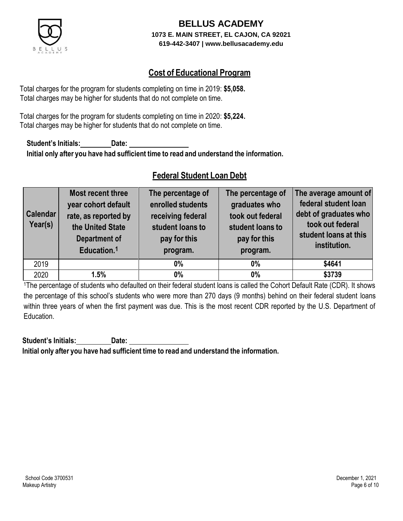

### **Cost of Educational Program**

Total charges for the program for students completing on time in 2019: **\$5,058.** Total charges may be higher for students that do not complete on time.

Total charges for the program for students completing on time in 2020: **\$5,224.** Total charges may be higher for students that do not complete on time.

**Student's Initials: Date: Initial only after you have had sufficient time to read and understand the information.**

## **Federal Student Loan Debt**

| <b>Calendar</b><br>Year(s) | Most recent three<br>year cohort default<br>rate, as reported by<br>the United State<br><b>Department of</b><br>Education. <sup>1</sup> | The percentage of<br>enrolled students<br>receiving federal<br>student loans to<br>pay for this<br>program. | The percentage of<br>graduates who<br>took out federal<br>student loans to<br>pay for this<br>program. | The average amount of<br>federal student loan<br>debt of graduates who<br>took out federal<br>student loans at this<br>institution. |
|----------------------------|-----------------------------------------------------------------------------------------------------------------------------------------|-------------------------------------------------------------------------------------------------------------|--------------------------------------------------------------------------------------------------------|-------------------------------------------------------------------------------------------------------------------------------------|
| 2019                       |                                                                                                                                         | $0\%$                                                                                                       | $0\%$                                                                                                  | \$4641                                                                                                                              |
| 2020                       | 1.5%                                                                                                                                    | $0\%$                                                                                                       | 0%                                                                                                     | \$3739                                                                                                                              |

<sup>1</sup>The percentage of students who defaulted on their federal student loans is called the Cohort Default Rate (CDR). It shows the percentage of this school's students who were more than 270 days (9 months) behind on their federal student loans within three years of when the first payment was due. This is the most recent CDR reported by the U.S. Department of Education.

**Student's Initials: Date: Initial only after you have had sufficient time to read and understand the information.**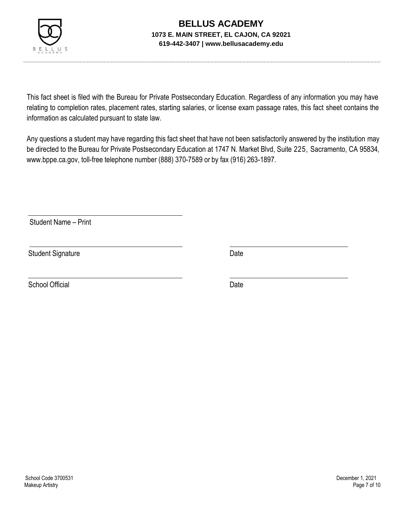

This fact sheet is filed with the Bureau for Private Postsecondary Education. Regardless of any information you may have relating to completion rates, placement rates, starting salaries, or license exam passage rates, this fact sheet contains the information as calculated pursuant to state law.

Any questions a student may have regarding this fact sheet that have not been satisfactorily answered by the institution may be directed to the Bureau for Private Postsecondary Education at 1747 N. Market Blvd, Suite 225, Sacramento, CA 95834, [www.bppe.ca.gov,](http://www.bppe.ca.gov/) toll-free telephone number (888) 370-7589 or by fax (916) 263-1897.

Student Name – Print

Student Signature Date

School Official Date Date Date Date Date Date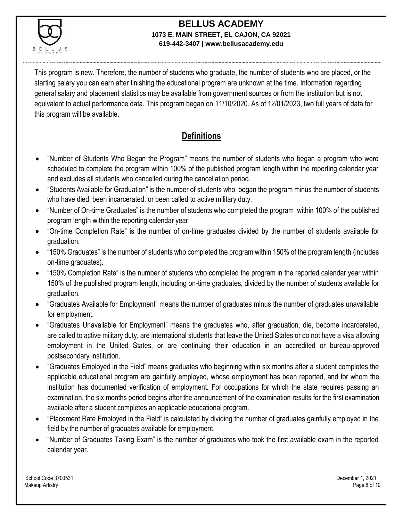

This program is new. Therefore, the number of students who graduate, the number of students who are placed, or the starting salary you can earn after finishing the educational program are unknown at the time. Information regarding general salary and placement statistics may be available from government sources or from the institution but is not equivalent to actual performance data. This program began on 11/10/2020. As of 12/01/2023, two full years of data for this program will be available.

## **Definitions**

- "Number of Students Who Began the Program" means the number of students who began a program who were scheduled to complete the program within 100% of the published program length within the reporting calendar year and excludes all students who cancelled during the cancellation period.
- "Students Available for Graduation" is the number of students who began the program minus the number of students who have died, been incarcerated, or been called to active military duty.
- "Number of On-time Graduates" is the number of students who completed the program within 100% of the published program length within the reporting calendar year.
- "On-time Completion Rate" is the number of on-time graduates divided by the number of students available for graduation.
- "150% Graduates" is the number of students who completed the program within 150% of the program length (includes on-time graduates).
- "150% Completion Rate" is the number of students who completed the program in the reported calendar year within 150% of the published program length, including on-time graduates, divided by the number of students available for graduation.
- "Graduates Available for Employment" means the number of graduates minus the number of graduates unavailable for employment.
- "Graduates Unavailable for Employment" means the graduates who, after graduation, die, become incarcerated, are called to active military duty, are international students that leave the United States or do not have a visa allowing employment in the United States, or are continuing their education in an accredited or bureau-approved postsecondary institution.
- "Graduates Employed in the Field" means graduates who beginning within six months after a student completes the applicable educational program are gainfully employed, whose employment has been reported, and for whom the institution has documented verification of employment. For occupations for which the state requires passing an examination, the six months period begins after the announcement of the examination results for the first examination available after a student completes an applicable educational program.
- "Placement Rate Employed in the Field" is calculated by dividing the number of graduates gainfully employed in the field by the number of graduates available for employment.
- "Number of Graduates Taking Exam" is the number of graduates who took the first available exam in the reported calendar year.

School Code 3700531 December 1, 2021 Makeup Artistry Page 8 of 10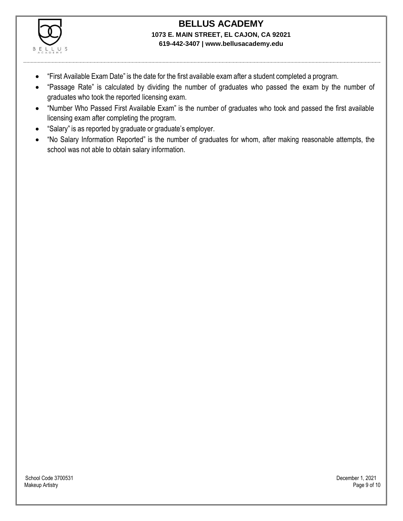

- "First Available Exam Date" is the date for the first available exam after a student completed a program.
- "Passage Rate" is calculated by dividing the number of graduates who passed the exam by the number of graduates who took the reported licensing exam.
- "Number Who Passed First Available Exam" is the number of graduates who took and passed the first available licensing exam after completing the program.
- "Salary" is as reported by graduate or graduate's employer.
- "No Salary Information Reported" is the number of graduates for whom, after making reasonable attempts, the school was not able to obtain salary information.